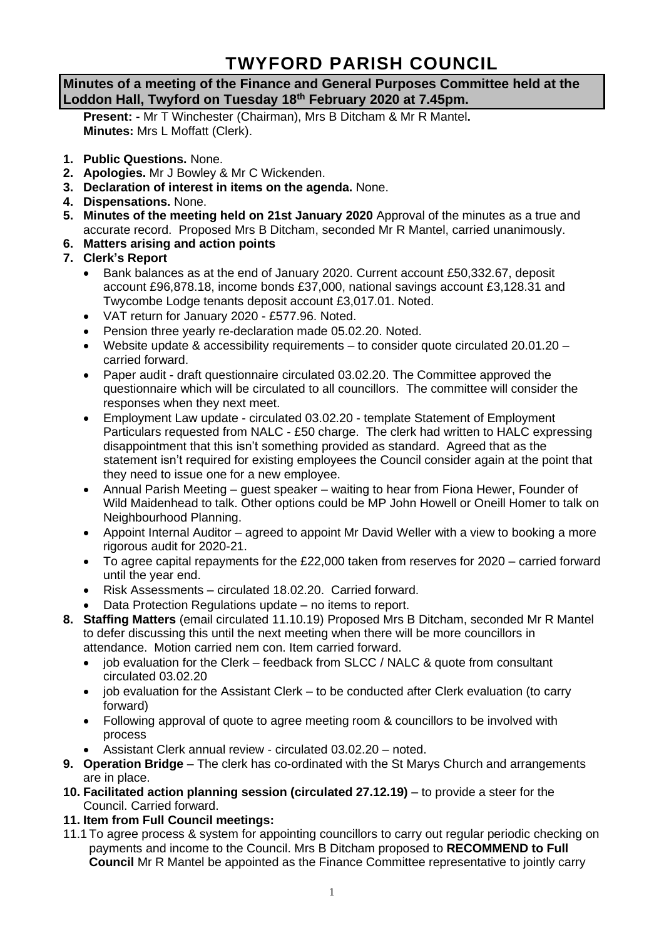# **TWYFORD PARISH COUNCIL**

# **Minutes of a meeting of the Finance and General Purposes Committee held at the Loddon Hall, Twyford on Tuesday 18th February 2020 at 7.45pm.**

**Present: -** Mr T Winchester (Chairman), Mrs B Ditcham & Mr R Mantel**. Minutes:** Mrs L Moffatt (Clerk).

- **1. Public Questions.** None.
- **2. Apologies.** Mr J Bowley & Mr C Wickenden.
- **3. Declaration of interest in items on the agenda.** None.
- **4. Dispensations.** None.
- **5. Minutes of the meeting held on 21st January 2020** Approval of the minutes as a true and accurate record. Proposed Mrs B Ditcham, seconded Mr R Mantel, carried unanimously.
- **6. Matters arising and action points**
- **7. Clerk's Report**
	- Bank balances as at the end of January 2020. Current account £50,332.67, deposit account £96,878.18, income bonds £37,000, national savings account £3,128.31 and Twycombe Lodge tenants deposit account £3,017.01. Noted.
	- VAT return for January 2020 £577.96. Noted.
	- Pension three yearly re-declaration made 05.02.20. Noted.
	- Website update & accessibility requirements  $-$  to consider quote circulated 20.01.20  $$ carried forward.
	- Paper audit draft questionnaire circulated 03.02.20. The Committee approved the questionnaire which will be circulated to all councillors. The committee will consider the responses when they next meet.
	- Employment Law update circulated 03.02.20 template Statement of Employment Particulars requested from NALC - £50 charge. The clerk had written to HALC expressing disappointment that this isn't something provided as standard. Agreed that as the statement isn't required for existing employees the Council consider again at the point that they need to issue one for a new employee.
	- Annual Parish Meeting guest speaker waiting to hear from Fiona Hewer, Founder of Wild Maidenhead to talk. Other options could be MP John Howell or Oneill Homer to talk on Neighbourhood Planning.
	- Appoint Internal Auditor agreed to appoint Mr David Weller with a view to booking a more rigorous audit for 2020-21.
	- To agree capital repayments for the £22,000 taken from reserves for 2020 carried forward until the year end.
	- Risk Assessments circulated 18.02.20. Carried forward.
	- Data Protection Regulations update no items to report.
- **8. Staffing Matters** (email circulated 11.10.19) Proposed Mrs B Ditcham, seconded Mr R Mantel to defer discussing this until the next meeting when there will be more councillors in attendance. Motion carried nem con. Item carried forward.
	- job evaluation for the Clerk feedback from SLCC / NALC & quote from consultant circulated 03.02.20
	- job evaluation for the Assistant Clerk to be conducted after Clerk evaluation (to carry forward)
	- Following approval of quote to agree meeting room & councillors to be involved with process
	- Assistant Clerk annual review circulated 03.02.20 noted.
- **9. Operation Bridge** The clerk has co-ordinated with the St Marys Church and arrangements are in place.
- **10. Facilitated action planning session (circulated 27.12.19)** to provide a steer for the Council. Carried forward.
- **11. Item from Full Council meetings:**
- 11.1 To agree process & system for appointing councillors to carry out regular periodic checking on payments and income to the Council. Mrs B Ditcham proposed to **RECOMMEND to Full Council** Mr R Mantel be appointed as the Finance Committee representative to jointly carry